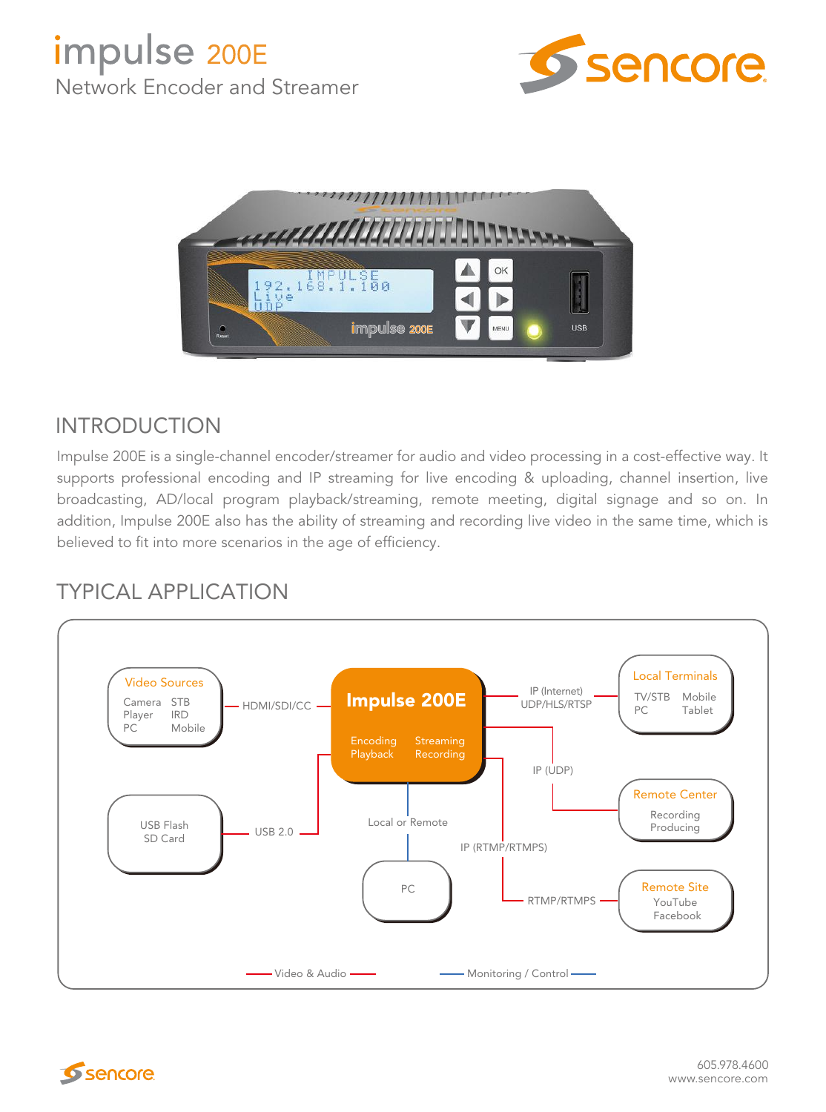



## INTRODUCTION

Impulse 200E is a single-channel encoder/streamer for audio and video processing in a cost-effective way. It supports professional encoding and IP streaming for live encoding & uploading, channel insertion, live broadcasting, AD/local program playback/streaming, remote meeting, digital signage and so on. In addition, Impulse 200E also has the ability of streaming and recording live video in the same time, which is believed to fit into more scenarios in the age of efficiency.

## TYPICAL APPLICATION